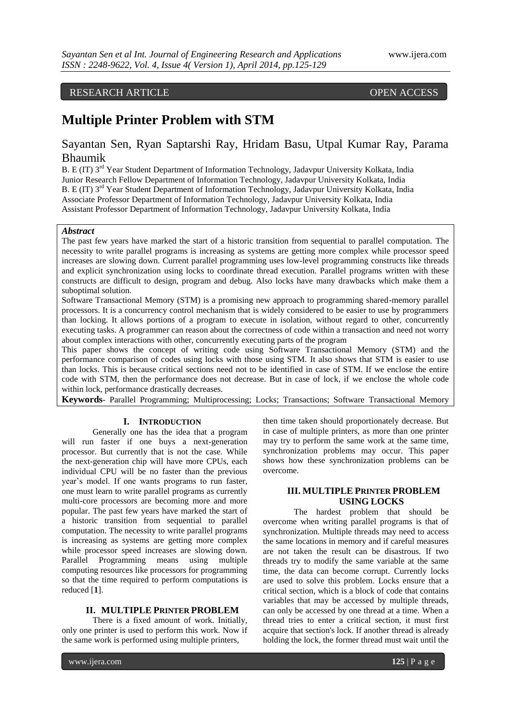# RESEARCH ARTICLE OPEN ACCESS

# **Multiple Printer Problem with STM**

# Sayantan Sen, Ryan Saptarshi Ray, Hridam Basu, Utpal Kumar Ray, Parama Bhaumik

B. E (IT) 3<sup>rd</sup> Year Student Department of Information Technology, Jadavpur University Kolkata, India Junior Research Fellow Department of Information Technology, Jadavpur University Kolkata, India B. E (IT) 3<sup>rd</sup> Year Student Department of Information Technology, Jadavpur University Kolkata, India Associate Professor Department of Information Technology, Jadavpur University Kolkata, India Assistant Professor Department of Information Technology, Jadavpur University Kolkata, India

# *Abstract*

The past few years have marked the start of a historic transition from sequential to parallel computation. The necessity to write parallel programs is increasing as systems are getting more complex while processor speed increases are slowing down. Current parallel programming uses low-level programming constructs like threads and explicit synchronization using locks to coordinate thread execution. Parallel programs written with these constructs are difficult to design, program and debug. Also locks have many drawbacks which make them a suboptimal solution.

Software Transactional Memory (STM) is a promising new approach to programming shared-memory parallel processors. It is a concurrency control mechanism that is widely considered to be easier to use by programmers than locking. It allows portions of a program to execute in isolation, without regard to other, concurrently executing tasks. A programmer can reason about the correctness of code within a transaction and need not worry about complex interactions with other, concurrently executing parts of the program

This paper shows the concept of writing code using Software Transactional Memory (STM) and the performance comparison of codes using locks with those using STM. It also shows that STM is easier to use than locks. This is because critical sections need not to be identified in case of STM. If we enclose the entire code with STM, then the performance does not decrease. But in case of lock, if we enclose the whole code within lock, performance drastically decreases.

**Keywords**- Parallel Programming; Multiprocessing; Locks; Transactions; Software Transactional Memory

#### **I. INTRODUCTION**

Generally one has the idea that a program will run faster if one buys a next-generation processor. But currently that is not the case. While the next-generation chip will have more CPUs, each individual CPU will be no faster than the previous year's model. If one wants programs to run faster, one must learn to write parallel programs as currently multi-core processors are becoming more and more popular. The past few years have marked the start of a historic transition from sequential to parallel computation. The necessity to write parallel programs is increasing as systems are getting more complex while processor speed increases are slowing down. Parallel Programming means using multiple computing resources like processors for programming so that the time required to perform computations is reduced [**1**].

#### **II. MULTIPLE PRINTER PROBLEM**

There is a fixed amount of work. Initially, only one printer is used to perform this work. Now if the same work is performed using multiple printers,

then time taken should proportionately decrease. But in case of multiple printers, as more than one printer may try to perform the same work at the same time, synchronization problems may occur. This paper shows how these synchronization problems can be overcome.

### **III. MULTIPLE PRINTER PROBLEM USING LOCKS**

The hardest problem that should be overcome when writing parallel programs is that of synchronization. Multiple threads may need to access the same locations in memory and if careful measures are not taken the result can be disastrous. If two threads try to modify the same variable at the same time, the data can become corrupt. Currently locks are used to solve this problem. Locks ensure that a critical section, which is a block of code that contains variables that may be accessed by multiple threads, can only be accessed by one thread at a time. When a thread tries to enter a critical section, it must first acquire that section's lock. If another thread is already holding the lock, the former thread must wait until the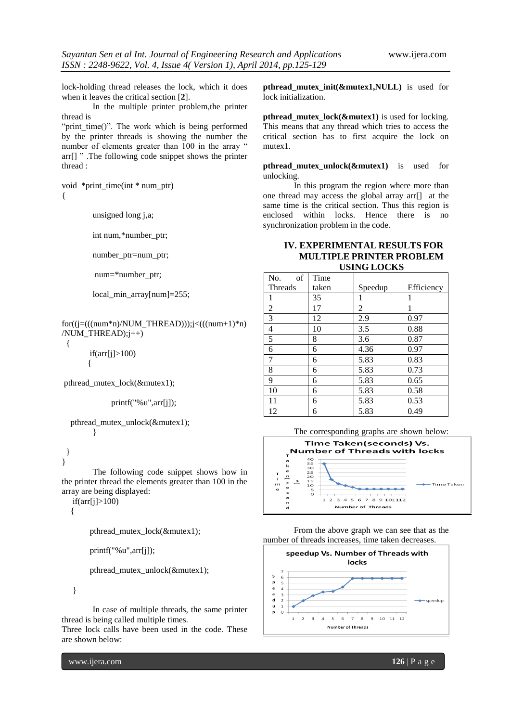lock-holding thread releases the lock, which it does when it leaves the critical section [**2**].

In the multiple printer problem,the printer thread is

"print\_time()". The work which is being performed by the printer threads is showing the number the number of elements greater than 100 in the array " arr[] " .The following code snippet shows the printer thread :

void \*print\_time(int \* num\_ptr) {

unsigned long j,a;

int num,\*number\_ptr;

number ptr=num ptr;

num=\*number\_ptr;

local\_min\_array[num]=255;

 $for((j=((num*n)/NUM\_THREAD))$ ; $j=((num+1)*n)$ /NUM\_THREAD);j++)

 $if(arr[i]>100)$ 

 $\left\{\begin{array}{ccc} \end{array}\right\}$ 

pthread\_mutex\_lock(&mutex1);

printf("%u",arr[j]);

 pthread\_mutex\_unlock(&mutex1); }

#### } }

{

The following code snippet shows how in the printer thread the elements greater than 100 in the array are being displayed:

if(arr[j]>100)

{

pthread\_mutex\_lock(&mutex1);

```
 printf("%u",arr[j]);
```
pthread\_mutex\_unlock(&mutex1);

}

In case of multiple threads, the same printer thread is being called multiple times.

Three lock calls have been used in the code. These are shown below:

www.ijera.com **126** | P a g e

**pthread\_mutex\_init(&mutex1,NULL)** is used for lock initialization.

**pthread\_mutex\_lock(&mutex1)** is used for locking. This means that any thread which tries to access the critical section has to first acquire the lock on mutex1.

**pthread mutex unlock(&mutex1)** is used for unlocking.

In this program the region where more than one thread may access the global array arr[] at the same time is the critical section. Thus this region is enclosed within locks. Hence there is no synchronization problem in the code.

# **IV. EXPERIMENTAL RESULTS FOR MULTIPLE PRINTER PROBLEM USING LOCKS**

| of<br>No.      | Time  |         |            |
|----------------|-------|---------|------------|
| Threads        | taken | Speedup | Efficiency |
| 1              | 35    |         |            |
| $\overline{2}$ | 17    | 2       |            |
| $\overline{3}$ | 12    | 2.9     | 0.97       |
| $\overline{4}$ | 10    | 3.5     | 0.88       |
| $\overline{5}$ | 8     | 3.6     | 0.87       |
| 6              | 6     | 4.36    | 0.97       |
| $\overline{7}$ | 6     | 5.83    | 0.83       |
| 8              | 6     | 5.83    | 0.73       |
| 9              | 6     | 5.83    | 0.65       |
| 10             | 6     | 5.83    | 0.58       |
| 11             | 6     | 5.83    | 0.53       |
| 12             | 6     | 5.83    | 0.49       |

The corresponding graphs are shown below:



From the above graph we can see that as the number of threads increases, time taken decreases.

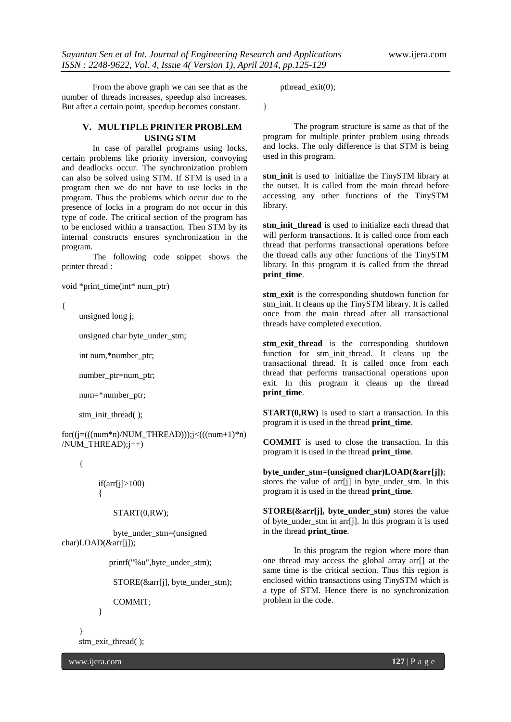From the above graph we can see that as the number of threads increases, speedup also increases. But after a certain point, speedup becomes constant.

# **V. MULTIPLE PRINTER PROBLEM USING STM**

In case of parallel programs using locks, certain problems like priority inversion, convoying and deadlocks occur. The synchronization problem can also be solved using STM. If STM is used in a program then we do not have to use locks in the program. Thus the problems which occur due to the presence of locks in a program do not occur in this type of code. The critical section of the program has to be enclosed within a transaction. Then STM by its internal constructs ensures synchronization in the program.

The following code snippet shows the printer thread :

void \*print\_time(int\* num\_ptr)

{

unsigned long j;

unsigned char byte\_under\_stm;

int num,\*number\_ptr;

number\_ptr=num\_ptr;

num=\*number\_ptr;

stm\_init\_thread( );

 $for((j=((num*n)/NUM\_THREAD))$ ; $j<(((num+1)*n)$ /NUM\_THREAD);j++)

{

 $if(arr[i]>100)$  $\left\{ \begin{array}{c} \end{array} \right\}$ 

#### START(0,RW);

 byte\_under\_stm=(unsigned char)LOAD(&arr[j]);

printf("%u",byte\_under\_stm);

STORE(&arr[j], byte\_under\_stm);

COMMIT;

}

 } stm\_exit\_thread( );

www.ijera.com **127** | P a g e

pthread\_exit(0);

}

The program structure is same as that of the program for multiple printer problem using threads and locks. The only difference is that STM is being used in this program.

**stm init** is used to initialize the TinySTM library at the outset. It is called from the main thread before accessing any other functions of the TinySTM library.

**stm\_init\_thread** is used to initialize each thread that will perform transactions. It is called once from each thread that performs transactional operations before the thread calls any other functions of the TinySTM library. In this program it is called from the thread **print\_time**.

**stm\_exit** is the corresponding shutdown function for stm\_init. It cleans up the TinySTM library. It is called once from the main thread after all transactional threads have completed execution.

stm exit thread is the corresponding shutdown function for stm init thread. It cleans up the transactional thread. It is called once from each thread that performs transactional operations upon exit. In this program it cleans up the thread **print\_time**.

**START(0,RW)** is used to start a transaction. In this program it is used in the thread **print\_time**.

**COMMIT** is used to close the transaction. In this program it is used in the thread **print\_time**.

byte under stm=(unsigned char)LOAD( $&\arf[i]$ ); stores the value of arr[j] in byte\_under\_stm. In this program it is used in the thread **print\_time**.

**STORE(&arr[j], byte\_under\_stm)** stores the value of byte\_under\_stm in arr[j]. In this program it is used in the thread **print\_time**.

In this program the region where more than one thread may access the global array arr[] at the same time is the critical section. Thus this region is enclosed within transactions using TinySTM which is a type of STM. Hence there is no synchronization problem in the code.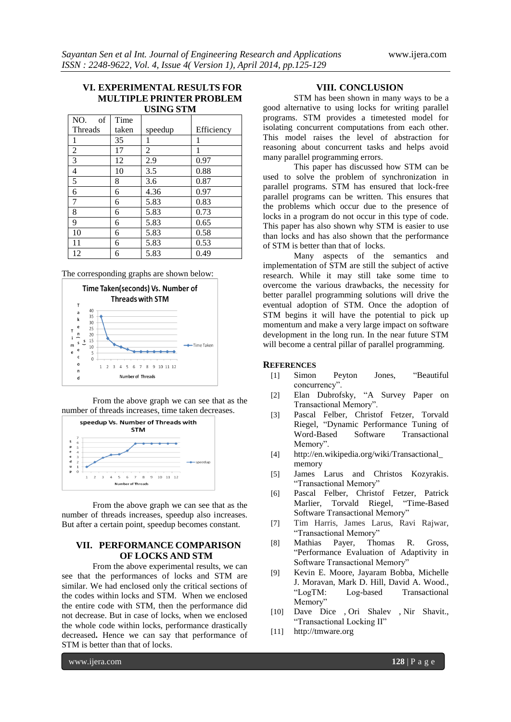# **VI. EXPERIMENTAL RESULTS FOR MULTIPLE PRINTER PROBLEM USING STM**

| NO.<br>of      | Time  |         |            |
|----------------|-------|---------|------------|
| Threads        | taken | speedup | Efficiency |
| 1              | 35    | 1       | 1          |
| $\overline{2}$ | 17    | 2       | 1          |
| 3              | 12    | 2.9     | 0.97       |
| 4              | 10    | 3.5     | 0.88       |
| 5              | 8     | 3.6     | 0.87       |
| 6              | 6     | 4.36    | 0.97       |
| 7              | 6     | 5.83    | 0.83       |
| 8              | 6     | 5.83    | 0.73       |
| 9              | 6     | 5.83    | 0.65       |
| 10             | 6     | 5.83    | 0.58       |
| 11             | 6     | 5.83    | 0.53       |
| 12             | 6     | 5.83    | 0.49       |

The corresponding graphs are shown below:



From the above graph we can see that as the number of threads increases, time taken decreases.



From the above graph we can see that as the number of threads increases, speedup also increases. But after a certain point, speedup becomes constant.

# **VII. PERFORMANCE COMPARISON OF LOCKS AND STM**

From the above experimental results, we can see that the performances of locks and STM are similar. We had enclosed only the critical sections of the codes within locks and STM.When we enclosed the entire code with STM, then the performance did not decrease. But in case of locks, when we enclosed the whole code within locks, performance drastically decreased**.** Hence we can say that performance of STM is better than that of locks.

### **VIII. CONCLUSION**

STM has been shown in many ways to be a good alternative to using locks for writing parallel programs. STM provides a timetested model for isolating concurrent computations from each other. This model raises the level of abstraction for reasoning about concurrent tasks and helps avoid many parallel programming errors.

This paper has discussed how STM can be used to solve the problem of synchronization in parallel programs. STM has ensured that lock-free parallel programs can be written. This ensures that the problems which occur due to the presence of locks in a program do not occur in this type of code. This paper has also shown why STM is easier to use than locks and has also shown that the performance of STM is better than that of locks.

Many aspects of the semantics and implementation of STM are still the subject of active research. While it may still take some time to overcome the various drawbacks, the necessity for better parallel programming solutions will drive the eventual adoption of STM. Once the adoption of STM begins it will have the potential to pick up momentum and make a very large impact on software development in the long run. In the near future STM will become a central pillar of parallel programming.

### **REFERENCES**

- [1] Simon Peyton Jones, "Beautiful concurrency".
- [2] Elan Dubrofsky, "A Survey Paper on Transactional Memory".
- [3] Pascal Felber, Christof Fetzer, Torvald Riegel, "Dynamic Performance Tuning of Word-Based Software Transactional Memory".
- [4] [http://en.wikipedia.org/wiki/Transactional\\_](http://en.wikipedia.org/wiki/Transactional_memory) [memory](http://en.wikipedia.org/wiki/Transactional_memory)
- [5] James Larus and Christos Kozyrakis. "Transactional Memory"
- [6] Pascal Felber, Christof Fetzer, Patrick Marlier, Torvald Riegel, "Time-Based Software Transactional Memory"
- [7] Tim Harris, James Larus, Ravi Rajwar, "Transactional Memory"
- [8] Mathias Payer, Thomas R. Gross, "Performance Evaluation of Adaptivity in Software Transactional Memory"
- [9] Kevin E. Moore, Jayaram Bobba, Michelle J. Moravan, Mark D. Hill, David A. Wood., "LogTM: Log-based Transactional Memory"
- [10] Dave Dice , Ori Shalev , Nir Shavit., "Transactional Locking II"
- [11] [http://tmware.org](http://tmware.org/)

www.ijera.com **128** | P a g e